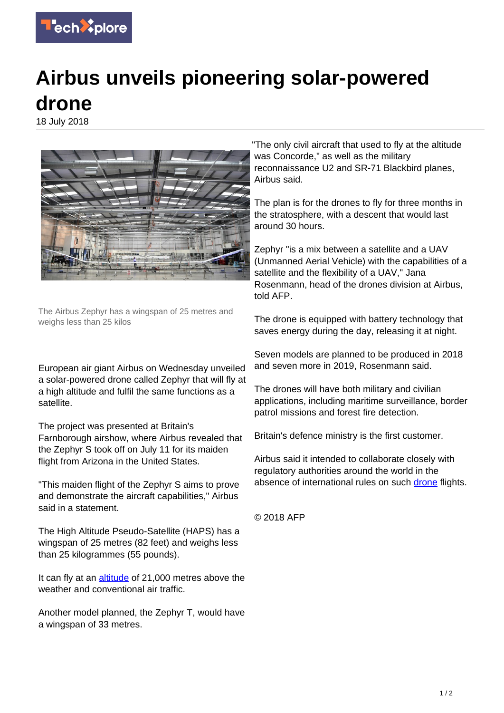

## **Airbus unveils pioneering solar-powered drone**

18 July 2018



The Airbus Zephyr has a wingspan of 25 metres and weighs less than 25 kilos

European air giant Airbus on Wednesday unveiled a solar-powered drone called Zephyr that will fly at a high altitude and fulfil the same functions as a satellite.

The project was presented at Britain's Farnborough airshow, where Airbus revealed that the Zephyr S took off on July 11 for its maiden flight from Arizona in the United States.

"This maiden flight of the Zephyr S aims to prove and demonstrate the aircraft capabilities," Airbus said in a statement.

The High Altitude Pseudo-Satellite (HAPS) has a wingspan of 25 metres (82 feet) and weighs less than 25 kilogrammes (55 pounds).

It can fly at an [altitude](https://techxplore.com/tags/altitude/) of 21,000 metres above the weather and conventional air traffic.

Another model planned, the Zephyr T, would have a wingspan of 33 metres.

"The only civil aircraft that used to fly at the altitude was Concorde," as well as the military reconnaissance U2 and SR-71 Blackbird planes, Airbus said.

The plan is for the drones to fly for three months in the stratosphere, with a descent that would last around 30 hours.

Zephyr "is a mix between a satellite and a UAV (Unmanned Aerial Vehicle) with the capabilities of a satellite and the flexibility of a UAV," Jana Rosenmann, head of the drones division at Airbus, told AFP.

The drone is equipped with battery technology that saves energy during the day, releasing it at night.

Seven models are planned to be produced in 2018 and seven more in 2019, Rosenmann said.

The drones will have both military and civilian applications, including maritime surveillance, border patrol missions and forest fire detection.

Britain's defence ministry is the first customer.

Airbus said it intended to collaborate closely with regulatory authorities around the world in the absence of international rules on such [drone](https://techxplore.com/tags/drone/) flights.

© 2018 AFP